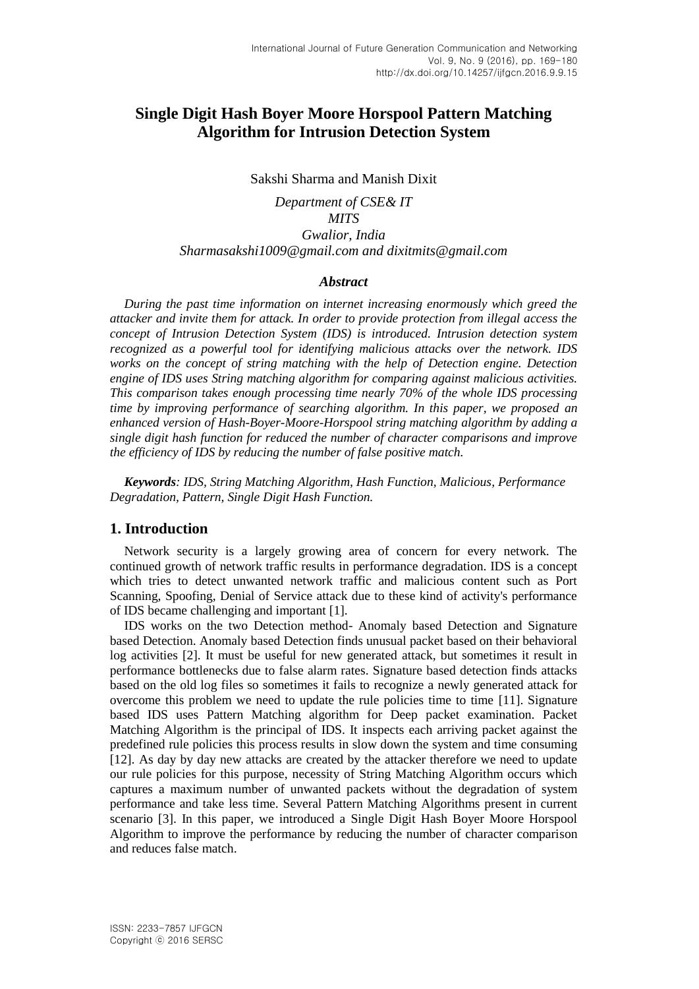# **Single Digit Hash Boyer Moore Horspool Pattern Matching Algorithm for Intrusion Detection System**

#### Sakshi Sharma and Manish Dixit

*Department of CSE& IT MITS Gwalior, India [Sharmasakshi1009@gmail.com](mailto:Sharmasakshi1009@gmail.com) and [dixitmits@gmail.com](mailto:dixitmits@gmail.com)*

#### *Abstract*

*During the past time information on internet increasing enormously which greed the attacker and invite them for attack. In order to provide protection from illegal access the concept of Intrusion Detection System (IDS) is introduced. Intrusion detection system recognized as a powerful tool for identifying malicious attacks over the network. IDS works on the concept of string matching with the help of Detection engine. Detection engine of IDS uses String matching algorithm for comparing against malicious activities. This comparison takes enough processing time nearly 70% of the whole IDS processing time by improving performance of searching algorithm. In this paper, we proposed an enhanced version of Hash-Boyer-Moore-Horspool string matching algorithm by adding a single digit hash function for reduced the number of character comparisons and improve the efficiency of IDS by reducing the number of false positive match.*

*Keywords: IDS, String Matching Algorithm, Hash Function, Malicious, Performance Degradation, Pattern, Single Digit Hash Function.*

## **1. Introduction**

Network security is a largely growing area of concern for every network. The continued growth of network traffic results in performance degradation. IDS is a concept which tries to detect unwanted network traffic and malicious content such as Port Scanning, Spoofing, Denial of Service attack due to these kind of activity's performance of IDS became challenging and important [1].

IDS works on the two Detection method- Anomaly based Detection and Signature based Detection. Anomaly based Detection finds unusual packet based on their behavioral log activities [2]. It must be useful for new generated attack, but sometimes it result in performance bottlenecks due to false alarm rates. Signature based detection finds attacks based on the old log files so sometimes it fails to recognize a newly generated attack for overcome this problem we need to update the rule policies time to time [11]. Signature based IDS uses Pattern Matching algorithm for Deep packet examination. Packet Matching Algorithm is the principal of IDS. It inspects each arriving packet against the predefined rule policies this process results in slow down the system and time consuming [12]. As day by day new attacks are created by the attacker therefore we need to update our rule policies for this purpose, necessity of String Matching Algorithm occurs which captures a maximum number of unwanted packets without the degradation of system performance and take less time. Several Pattern Matching Algorithms present in current scenario [3]. In this paper, we introduced a Single Digit Hash Boyer Moore Horspool Algorithm to improve the performance by reducing the number of character comparison and reduces false match.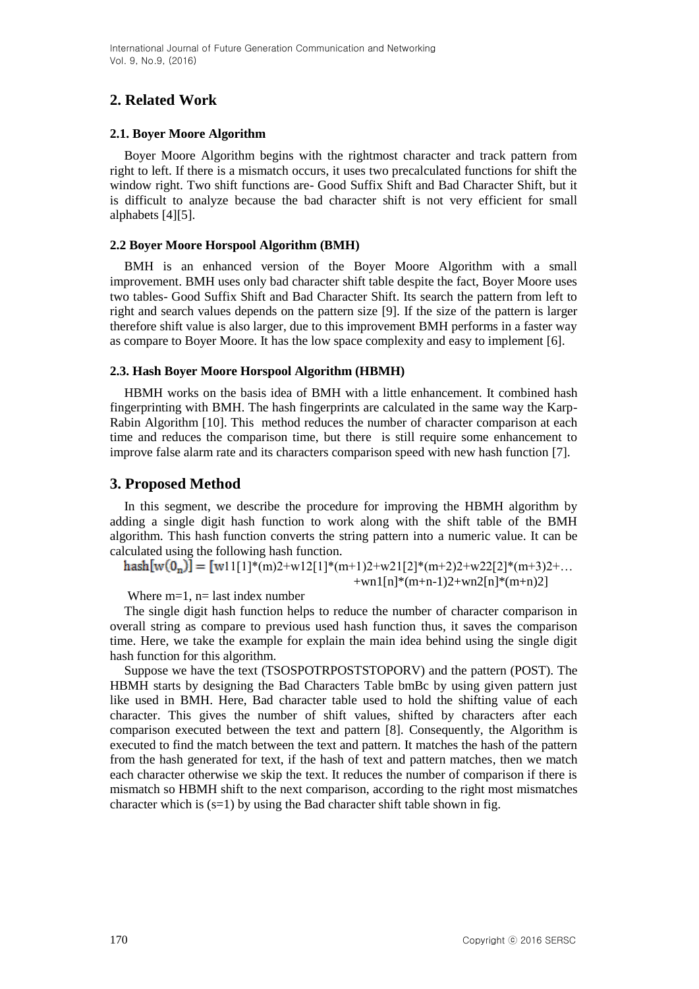# **2. Related Work**

## **2.1. Boyer Moore Algorithm**

Boyer Moore Algorithm begins with the rightmost character and track pattern from right to left. If there is a mismatch occurs, it uses two precalculated functions for shift the window right. Two shift functions are- Good Suffix Shift and Bad Character Shift, but it is difficult to analyze because the bad character shift is not very efficient for small alphabets [4][5].

### **2.2 Boyer Moore Horspool Algorithm (BMH)**

BMH is an enhanced version of the Boyer Moore Algorithm with a small improvement. BMH uses only bad character shift table despite the fact, Boyer Moore uses two tables- Good Suffix Shift and Bad Character Shift. Its search the pattern from left to right and search values depends on the pattern size [9]. If the size of the pattern is larger therefore shift value is also larger, due to this improvement BMH performs in a faster way as compare to Boyer Moore. It has the low space complexity and easy to implement [6].

## **2.3. Hash Boyer Moore Horspool Algorithm (HBMH)**

HBMH works on the basis idea of BMH with a little enhancement. It combined hash fingerprinting with BMH. The hash fingerprints are calculated in the same way the Karp-Rabin Algorithm [10]. This method reduces the number of character comparison at each time and reduces the comparison time, but there is still require some enhancement to improve false alarm rate and its characters comparison speed with new hash function [7].

## **3. Proposed Method**

In this segment, we describe the procedure for improving the HBMH algorithm by adding a single digit hash function to work along with the shift table of the BMH algorithm. This hash function converts the string pattern into a numeric value. It can be calculated using the following hash function.

 $\text{hash}[w(0_n)] = [w11[1]^*(m)2+w12[1]^*(m+1)2+w21[2]^*(m+2)2+w22[2]^*(m+3)2+...$  $+$ wn1[n]\*(m+n-1)2+wn2[n]\*(m+n)2]

Where  $m=1$ ,  $n=$  last index number

The single digit hash function helps to reduce the number of character comparison in overall string as compare to previous used hash function thus, it saves the comparison time. Here, we take the example for explain the main idea behind using the single digit hash function for this algorithm.

Suppose we have the text (TSOSPOTRPOSTSTOPORV) and the pattern (POST). The HBMH starts by designing the Bad Characters Table bmBc by using given pattern just like used in BMH. Here, Bad character table used to hold the shifting value of each character. This gives the number of shift values, shifted by characters after each comparison executed between the text and pattern [8]. Consequently, the Algorithm is executed to find the match between the text and pattern. It matches the hash of the pattern from the hash generated for text, if the hash of text and pattern matches, then we match each character otherwise we skip the text. It reduces the number of comparison if there is mismatch so HBMH shift to the next comparison, according to the right most mismatches character which is  $(s=1)$  by using the Bad character shift table shown in fig.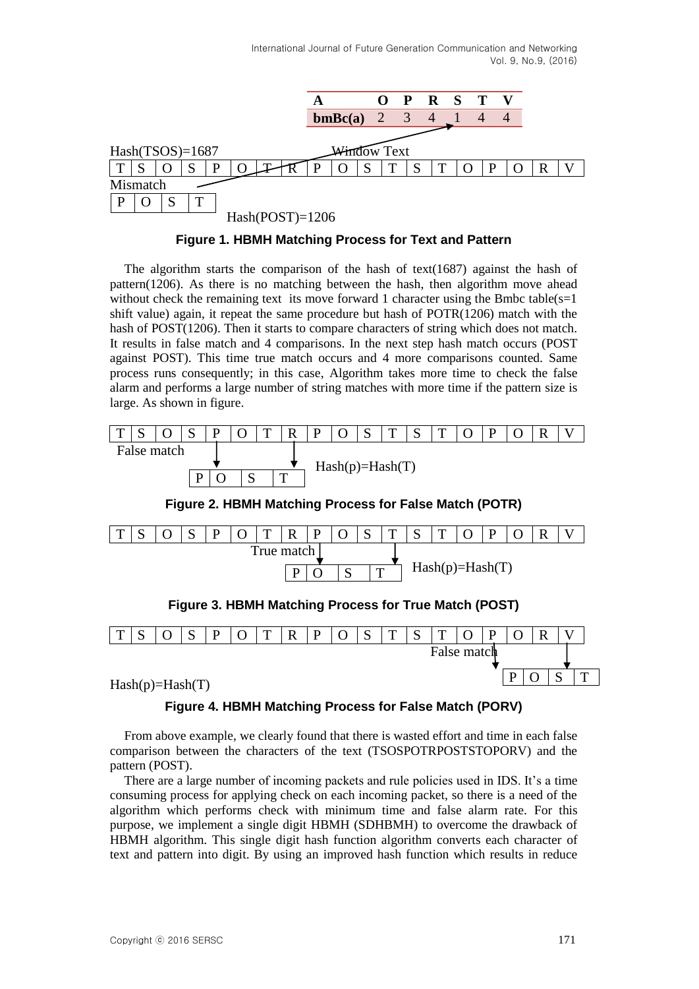

#### **Figure 1. HBMH Matching Process for Text and Pattern**

The algorithm starts the comparison of the hash of text(1687) against the hash of pattern $(1206)$ . As there is no matching between the hash, then algorithm move ahead without check the remaining text its move forward 1 character using the Bmbc table( $s=1$ ) shift value) again, it repeat the same procedure but hash of POTR(1206) match with the hash of POST(1206). Then it starts to compare characters of string which does not match. It results in false match and 4 comparisons. In the next step hash match occurs (POST against POST). This time true match occurs and 4 more comparisons counted. Same process runs consequently; in this case, Algorithm takes more time to check the false alarm and performs a large number of string matches with more time if the pattern size is large. As shown in figure.



**Figure 2. HBMH Matching Process for False Match (POTR)**



#### **Figure 4. HBMH Matching Process for False Match (PORV)**

From above example, we clearly found that there is wasted effort and time in each false comparison between the characters of the text (TSOSPOTRPOSTSTOPORV) and the pattern (POST).

There are a large number of incoming packets and rule policies used in IDS. It's a time consuming process for applying check on each incoming packet, so there is a need of the algorithm which performs check with minimum time and false alarm rate. For this purpose, we implement a single digit HBMH (SDHBMH) to overcome the drawback of HBMH algorithm. This single digit hash function algorithm converts each character of text and pattern into digit. By using an improved hash function which results in reduce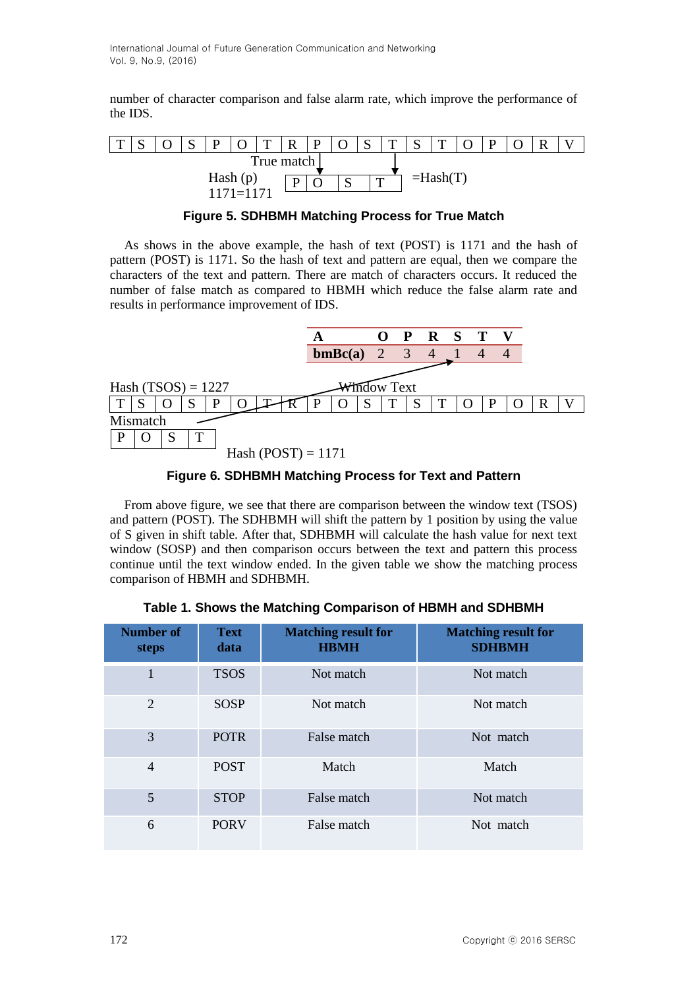number of character comparison and false alarm rate, which improve the performance of the IDS.



**Figure 5. SDHBMH Matching Process for True Match**

As shows in the above example, the hash of text (POST) is 1171 and the hash of pattern (POST) is 1171. So the hash of text and pattern are equal, then we compare the characters of the text and pattern. There are match of characters occurs. It reduced the number of false match as compared to HBMH which reduce the false alarm rate and results in performance improvement of IDS.

|                      |         |                    | OPRST          |          |  |   |  |
|----------------------|---------|--------------------|----------------|----------|--|---|--|
|                      | bmBc(a) | $\overline{2}$     | $\overline{3}$ | $\sim$ 4 |  |   |  |
|                      |         |                    |                |          |  |   |  |
| Hash $(TSOS) = 1227$ |         | <b>Vindow Text</b> |                |          |  |   |  |
| T                    |         | S<br>T             | S              | T        |  | R |  |
| Mismatch             |         |                    |                |          |  |   |  |
| T<br>P<br>S          |         |                    |                |          |  |   |  |
| Hash $(POST) = 1171$ |         |                    |                |          |  |   |  |

**Figure 6. SDHBMH Matching Process for Text and Pattern**

From above figure, we see that there are comparison between the window text (TSOS) and pattern (POST). The SDHBMH will shift the pattern by 1 position by using the value of S given in shift table. After that, SDHBMH will calculate the hash value for next text window (SOSP) and then comparison occurs between the text and pattern this process continue until the text window ended. In the given table we show the matching process comparison of HBMH and SDHBMH.

|  |  | Table 1. Shows the Matching Comparison of HBMH and SDHBMH |  |
|--|--|-----------------------------------------------------------|--|
|  |  |                                                           |  |

| Number of<br>steps | <b>Text</b><br>data | <b>Matching result for</b><br><b>HBMH</b> | <b>Matching result for</b><br><b>SDHBMH</b> |
|--------------------|---------------------|-------------------------------------------|---------------------------------------------|
|                    | <b>TSOS</b>         | Not match                                 | Not match                                   |
| 2                  | <b>SOSP</b>         | Not match                                 | Not match                                   |
| 3                  | <b>POTR</b>         | False match                               | Not match                                   |
| $\overline{4}$     | <b>POST</b>         | Match                                     | Match                                       |
| 5                  | <b>STOP</b>         | False match                               | Not match                                   |
| 6                  | <b>PORV</b>         | False match                               | Not match                                   |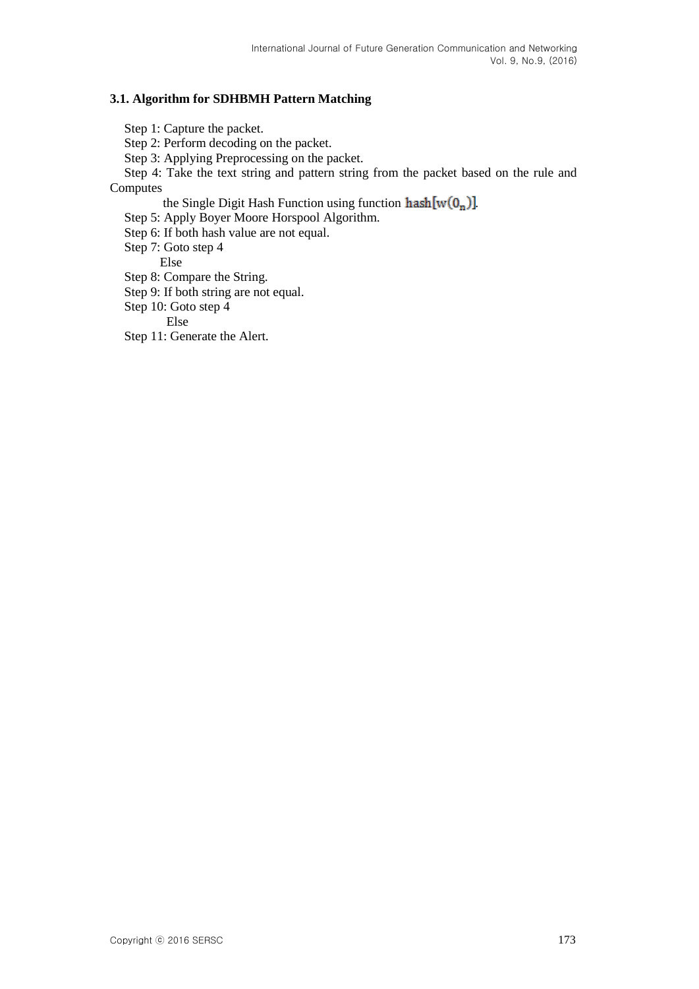#### **3.1. Algorithm for SDHBMH Pattern Matching**

Step 1: Capture the packet.

Step 2: Perform decoding on the packet.

Step 3: Applying Preprocessing on the packet.

Step 4: Take the text string and pattern string from the packet based on the rule and Computes

the Single Digit Hash Function using function  $\text{hash}[w(0_n)]$ .

Step 5: Apply Boyer Moore Horspool Algorithm.

Step 6: If both hash value are not equal.

Step 7: Goto step 4

Else

Step 8: Compare the String.

Step 9: If both string are not equal.

Step 10: Goto step 4

Else

Step 11: Generate the Alert.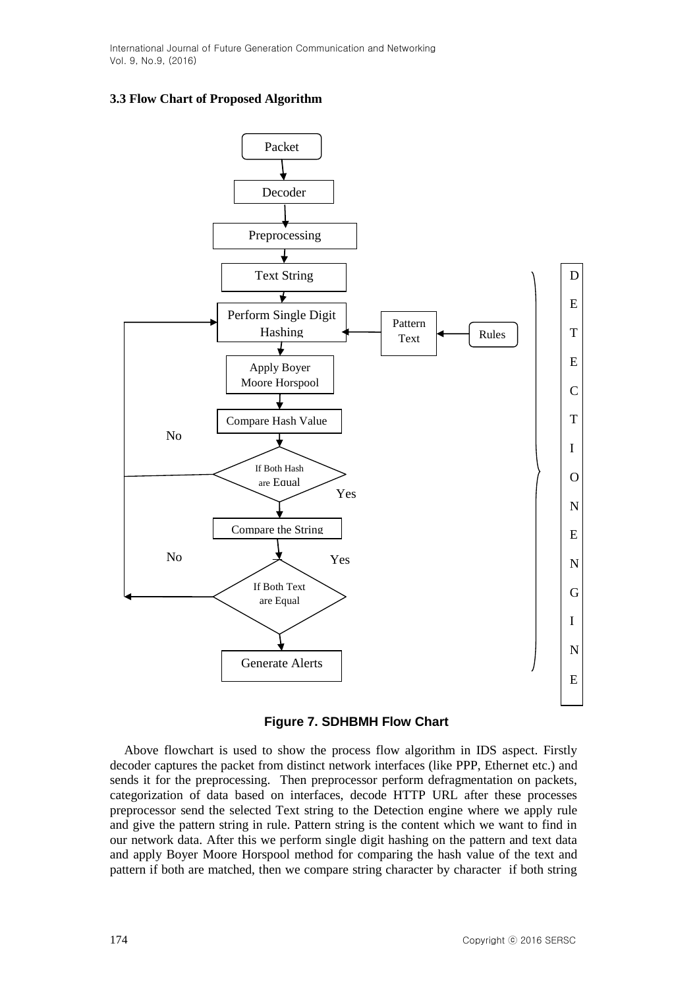#### **3.3 Flow Chart of Proposed Algorithm**





Above flowchart is used to show the process flow algorithm in IDS aspect. Firstly decoder captures the packet from distinct network interfaces (like PPP, Ethernet etc.) and sends it for the preprocessing. Then preprocessor perform defragmentation on packets, categorization of data based on interfaces, decode HTTP URL after these processes preprocessor send the selected Text string to the Detection engine where we apply rule and give the pattern string in rule. Pattern string is the content which we want to find in our network data. After this we perform single digit hashing on the pattern and text data and apply Boyer Moore Horspool method for comparing the hash value of the text and pattern if both are matched, then we compare string character by character if both string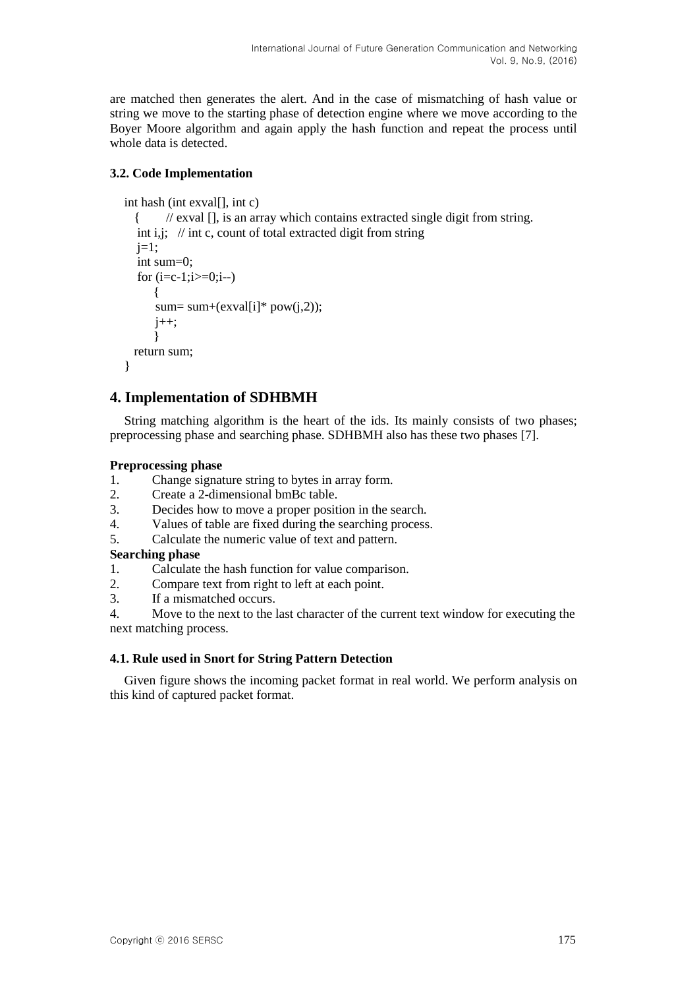are matched then generates the alert. And in the case of mismatching of hash value or string we move to the starting phase of detection engine where we move according to the Boyer Moore algorithm and again apply the hash function and repeat the process until whole data is detected.

### **3.2. Code Implementation**

```
int hash (int exval[], int c)
```

```
 { // exval [], is an array which contains extracted single digit from string.
int i,j; \frac{1}{\pi} int c, count of total extracted digit from string
j=1;
 int sum=0;
for (i=c-1:i>=0:i-1] {
    sum= sum+(exval[i]* pow(j,2));
    j_{++};
     }
 return sum;
```
## **4. Implementation of SDHBMH**

String matching algorithm is the heart of the ids. Its mainly consists of two phases; preprocessing phase and searching phase. SDHBMH also has these two phases [7].

#### **Preprocessing phase**

}

- 1. Change signature string to bytes in array form.
- 2. Create a 2-dimensional bmBc table.
- 3. Decides how to move a proper position in the search.
- 4. Values of table are fixed during the searching process.
- 5. Calculate the numeric value of text and pattern.

## **Searching phase**

- 1. Calculate the hash function for value comparison.
- 2. Compare text from right to left at each point.
- 3. If a mismatched occurs.

4. Move to the next to the last character of the current text window for executing the next matching process.

#### **4.1. Rule used in Snort for String Pattern Detection**

Given figure shows the incoming packet format in real world. We perform analysis on this kind of captured packet format.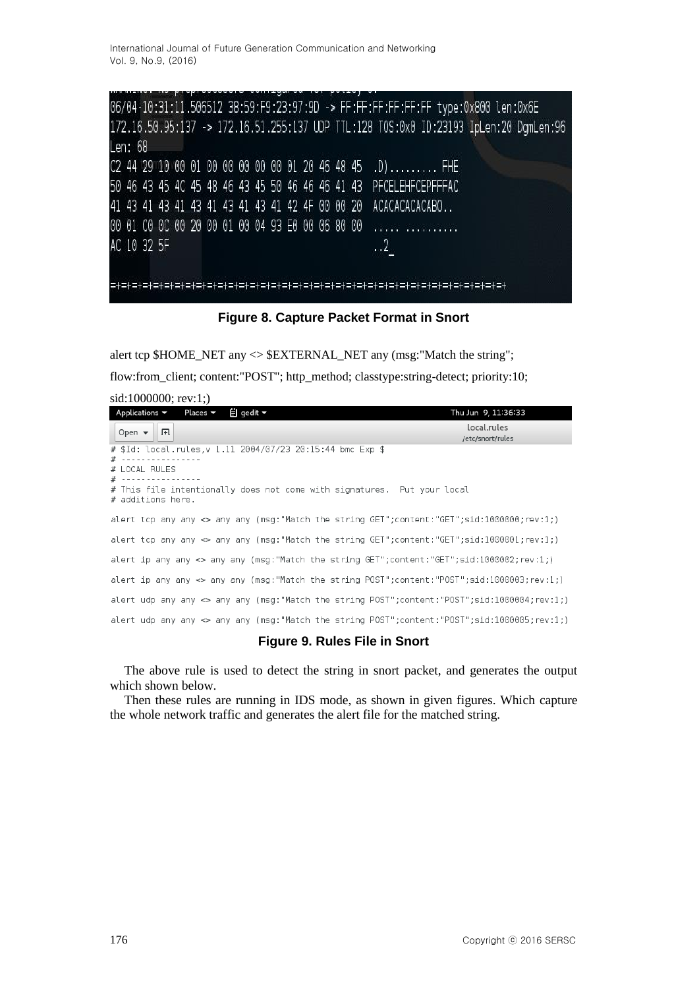06/04-10:31:11.506512 38:59:F9:23:97:9D -> FF:FF:FF:FF:FF:FF type:0x800 len:0x6E 172.16.50.95:137 -> 172.16.51.255:137 UDP TTL:128 TOS:0x0 ID:23193 IpLen:20 DgmLen:96 Len: 68 C2 44 29 10 00 01 00 00 00 00 00 01 20 46 48 45 .D) ......... FHE 50 46 43 45 4C 45 48 46 43 45 50 46 46 46 41 43 PFCELEHFCEPFFFAC 41 43 41 43 41 43 41 43 41 43 41 42 4F 00 00 20 ACACACACACABO.. 00 01 C0 0C 00 20 00 01 00 04 93 E0 00 06 80 00 and community AC 10 32 5F  $\cdot$ .2 

**Figure 8. Capture Packet Format in Snort**

alert tcp \$HOME\_NET any <> \$EXTERNAL\_NET any (msg:"Match the string";

flow:from\_client; content:"POST"; http\_method; classtype:string-detect; priority:10;

| sid:1000000; rev:1;                                                                          |                     |
|----------------------------------------------------------------------------------------------|---------------------|
| Applications $\blacktriangledown$ Places $\blacktriangledown$<br>$\Box$ gedit ▼              | Thu Jun 9, 11:36:33 |
| Open $\blacktriangledown$<br>凧                                                               | local.rules         |
|                                                                                              | /etc/snort/rules    |
| # \$Id: local.rules,v 1.11 2004/07/23 20:15:44 bmc Exp \$<br>#                               |                     |
| # LOCAL RULES                                                                                |                     |
| # ---                                                                                        |                     |
| # This file intentionally does not come with signatures. Put your local<br># additions here. |                     |
|                                                                                              |                     |
| alert tcp any any <> any any (msq:"Match the string GET";content:"GET";sid:1000000;rev:1;)   |                     |
| alert tcp any any <> any any (msg:"Match the string GET";content:"GET";sid:1000001;rev:1;)   |                     |
| alert ip any any <> any any (msq:"Match the string GET";content:"GET";sid:1000002;rev:1;)    |                     |
| alert ip any any <> any any (msg:"Match the string POST";content:"POST";sid:1000003;rev:1;)  |                     |
| alert udp any any <> any any (msg:"Match the string POST";content:"POST";sid:1000004;rev:1;) |                     |
| alert udp any any <> any any (msg:"Match the string POST";content:"POST";sid:1000005;rev:1;) |                     |

#### **Figure 9. Rules File in Snort**

The above rule is used to detect the string in snort packet, and generates the output which shown below.

Then these rules are running in IDS mode, as shown in given figures. Which capture the whole network traffic and generates the alert file for the matched string.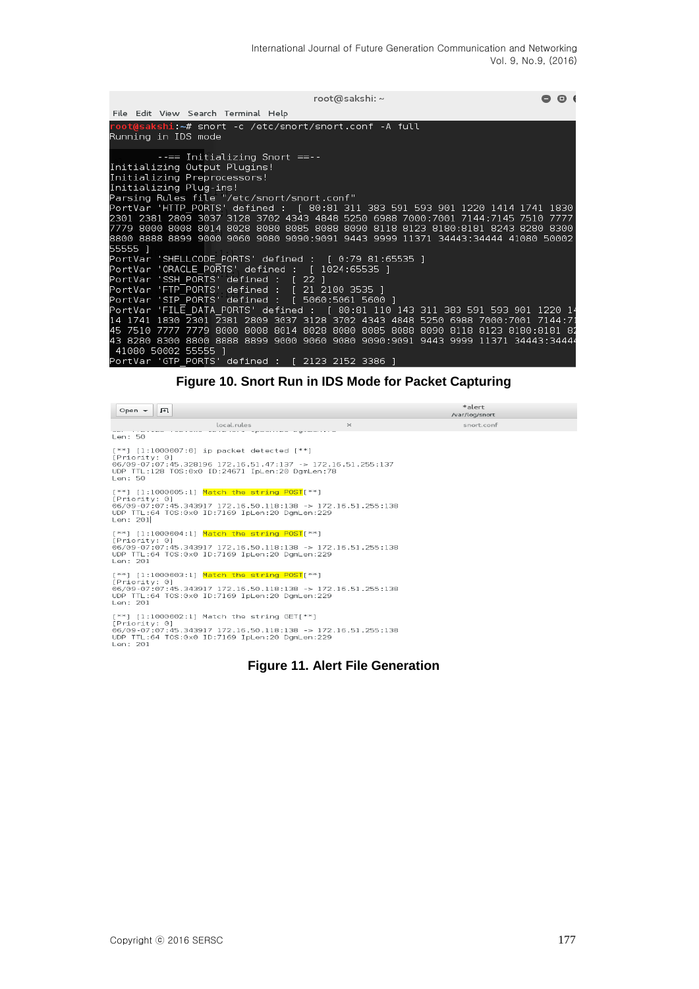| root@sakshi: ~                                                                                                                                                                                                                                                                                                                                                                                                                                                                                                  | . |  |
|-----------------------------------------------------------------------------------------------------------------------------------------------------------------------------------------------------------------------------------------------------------------------------------------------------------------------------------------------------------------------------------------------------------------------------------------------------------------------------------------------------------------|---|--|
| File Edit View Search Terminal Help                                                                                                                                                                                                                                                                                                                                                                                                                                                                             |   |  |
| root@sakshi:~# snort -c /etc/snort/snort.conf -A full<br>Running in IDS mode                                                                                                                                                                                                                                                                                                                                                                                                                                    |   |  |
| $---$ Initializing Snort $==$<br>Initializing Output Plugins!<br>Initializing Preprocessors!<br>Initializing Plug-ins!<br>Parsing Rules file "/etc/snort/snort.conf"<br>PortVar 'HTTP PORTS' defined : [ 80:81 311 383 591 593 901 1220 1414 1741 1830<br>2301 2381 2809 3037 3128 3702 4343 4848 5250 6988 7000:7001 7144:7145 7510 7777<br>7779 8000 8008 8014 8028 8080 8085 8088 8090 8118 8123 8180:8181 8243 8280 8300<br>8800 8888 8899 9000 9060 9080 9090:9091 9443 9999 11371 34443:34444 41080 50002 |   |  |
| 55555 1<br>PortVar 'SHELLCODE PORTS' defined : [ 0:79 81:65535 ]<br>PortVar 'ORACLE PORTS' defined : [ 1024:65535 ]<br>PortVar 'SSH PORTS' defined : [ 22 ]<br>PortVar 'FTP PORTS' defined : [ 21 2100 3535 ]<br>PortVar 'SIP PORTS' defined : [ 5060:5061 5600 ]                                                                                                                                                                                                                                               |   |  |
| PortVar 'FILE DATA PORTS' defined : [ 80:81 110 143 311 383 591 593 901 1220 14<br>14 1741 1830 2301 2381 2809 3037 3128 3702 4343 4848 5250 6988 7000:7001 7144:71<br>45 7510 7777 7779 8000 8008 8014 8028 8080 8085 8088 8090 8118 8123 8180:8181 82<br>43 8280 8300 8800 8888 8899 9000 9060 9080 9090:9091 9443 9999 11371 34443:34444<br>41080 50002 55555 1<br>PortVar 'GTP PORTS' defined : [ 2123 2152 3386 ]                                                                                          |   |  |

**Figure 10. Snort Run in IDS Mode for Packet Capturing**

\*alert Open  $\blacktriangledown$   $\boxed{F}$ /var/log/snort snort.conf [\*\*] [1:1000007:0] ip packet detected [\*\*]<br>[Priority: 0]<br>06/09-07:07:45.328196 172.16.51.47:137 -> 172.16.51.255:137<br>UDP TTL:128 TOS:0x0 ID:24671 IpLen:20 DgmLen:78<br>Len: 50 Len. 50<br>[Priority: 0]<br>Offormation: 1981-1981 172.16.50.118:138 -> 172.16.51.255:138<br>UDP TTL:64 TOS:0x0 ID:7169 IpLen:20 DgmLen:229<br>Len: 201 [\*\*] [1:1000004:1] <mark>Match the string POST</mark>[\*\*]<br>[Priority: 0]<br>06/09-07:07:45.343917 172.16.50.118:138 -> 172.16.51.255:138<br>UDP TTL:64 TOS:0x0 ID:7169 IpLen:20 DgmLen:229<br>Len: 201 [\*\*] [1:1000003:1] <mark>Match the string POST</mark>[\*\*]<br>[Priority: 0]<br>06/09-07:07:45.343917 172.16.50.118:138 -> 172.16.51.255:138<br>UDP TTL:64 TOS:0x0 ID:7169 IpLen:20 DgmLen:229<br>Len: 201 [\*\*] [1:1000002:1] Match the string GET[\*\*]<br>[Priority: 0]<br>06/09-07:07:45.343917 172.16.50.118:138 -> 172.16.51.255:138<br>UDP TTL:64 TOS:0x0 ID:7169 IpLen:20 DgmLen:229<br>Len: 201

#### **Figure 11. Alert File Generation**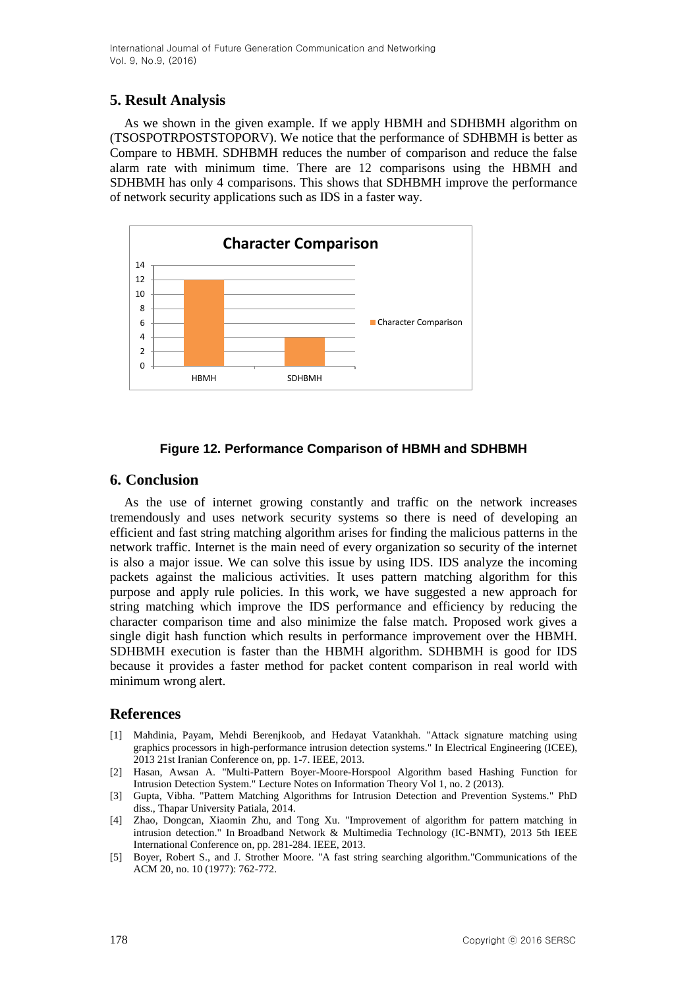## **5. Result Analysis**

As we shown in the given example. If we apply HBMH and SDHBMH algorithm on (TSOSPOTRPOSTSTOPORV). We notice that the performance of SDHBMH is better as Compare to HBMH. SDHBMH reduces the number of comparison and reduce the false alarm rate with minimum time. There are 12 comparisons using the HBMH and SDHBMH has only 4 comparisons. This shows that SDHBMH improve the performance of network security applications such as IDS in a faster way.



## **Figure 12. Performance Comparison of HBMH and SDHBMH**

## **6. Conclusion**

As the use of internet growing constantly and traffic on the network increases tremendously and uses network security systems so there is need of developing an efficient and fast string matching algorithm arises for finding the malicious patterns in the network traffic. Internet is the main need of every organization so security of the internet is also a major issue. We can solve this issue by using IDS. IDS analyze the incoming packets against the malicious activities. It uses pattern matching algorithm for this purpose and apply rule policies. In this work, we have suggested a new approach for string matching which improve the IDS performance and efficiency by reducing the character comparison time and also minimize the false match. Proposed work gives a single digit hash function which results in performance improvement over the HBMH. SDHBMH execution is faster than the HBMH algorithm. SDHBMH is good for IDS because it provides a faster method for packet content comparison in real world with minimum wrong alert.

## **References**

- [1] Mahdinia, Payam, Mehdi Berenjkoob, and Hedayat Vatankhah. "Attack signature matching using graphics processors in high-performance intrusion detection systems." In Electrical Engineering (ICEE), 2013 21st Iranian Conference on, pp. 1-7. IEEE, 2013.
- [2] Hasan, Awsan A. "Multi-Pattern Boyer-Moore-Horspool Algorithm based Hashing Function for Intrusion Detection System." Lecture Notes on Information Theory Vol 1, no. 2 (2013).
- [3] Gupta, Vibha. "Pattern Matching Algorithms for Intrusion Detection and Prevention Systems." PhD diss., Thapar University Patiala, 2014.
- [4] Zhao, Dongcan, Xiaomin Zhu, and Tong Xu. "Improvement of algorithm for pattern matching in intrusion detection." In Broadband Network & Multimedia Technology (IC-BNMT), 2013 5th IEEE International Conference on, pp. 281-284. IEEE, 2013.
- [5] Boyer, Robert S., and J. Strother Moore. "A fast string searching algorithm."Communications of the ACM 20, no. 10 (1977): 762-772.